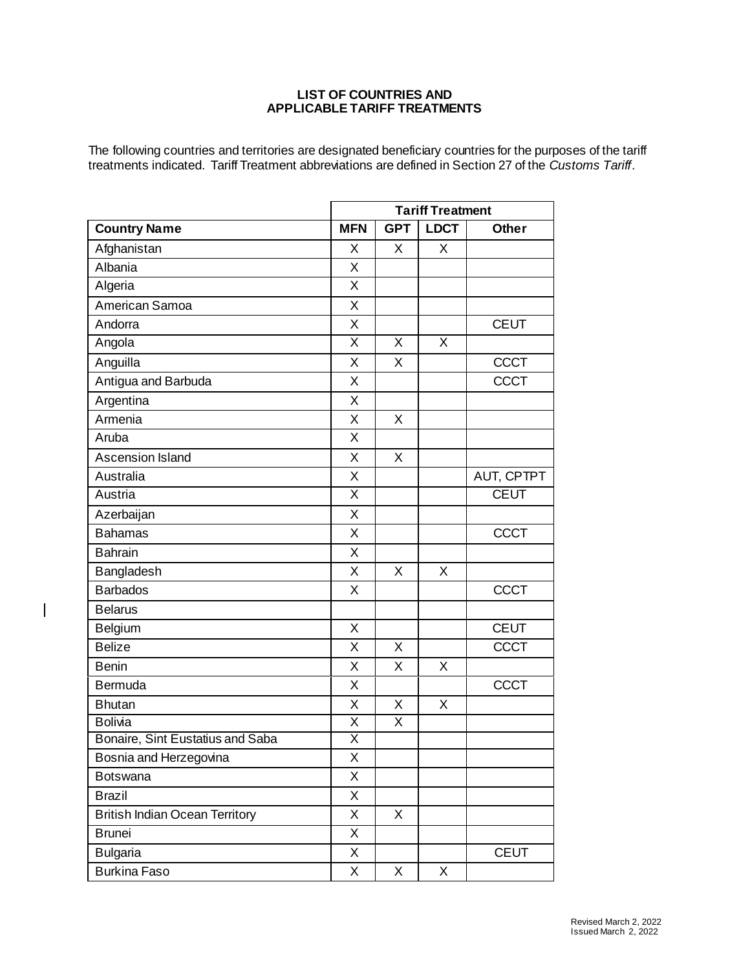## **LIST OF COUNTRIES AND APPLICABLE TARIFF TREATMENTS**

The following countries and territories are designated beneficiary countries for the purposes of the tariff treatments indicated. Tariff Treatment abbreviations are defined in Section 27 of the *Customs Tariff*.

|                                       |                         | <b>Tariff Treatment</b> |             |              |  |
|---------------------------------------|-------------------------|-------------------------|-------------|--------------|--|
| <b>Country Name</b>                   | <b>MFN</b>              | <b>GPT</b>              | <b>LDCT</b> | <b>Other</b> |  |
| Afghanistan                           | X                       | X                       | X           |              |  |
| Albania                               | X                       |                         |             |              |  |
| Algeria                               | X                       |                         |             |              |  |
| American Samoa                        | X                       |                         |             |              |  |
| Andorra                               | X                       |                         |             | <b>CEUT</b>  |  |
| Angola                                | X                       | X                       | X           |              |  |
| Anguilla                              | X                       | X                       |             | <b>CCCT</b>  |  |
| Antigua and Barbuda                   | X                       |                         |             | <b>CCCT</b>  |  |
| Argentina                             | X                       |                         |             |              |  |
| Armenia                               | X                       | X                       |             |              |  |
| Aruba                                 | X                       |                         |             |              |  |
| Ascension Island                      | X                       | X                       |             |              |  |
| Australia                             | X                       |                         |             | AUT, CPTPT   |  |
| Austria                               | X                       |                         |             | <b>CEUT</b>  |  |
| Azerbaijan                            | X                       |                         |             |              |  |
| <b>Bahamas</b>                        | X                       |                         |             | <b>CCCT</b>  |  |
| <b>Bahrain</b>                        | X                       |                         |             |              |  |
| Bangladesh                            | X                       | X                       | X           |              |  |
| <b>Barbados</b>                       | X                       |                         |             | <b>CCCT</b>  |  |
| <b>Belarus</b>                        |                         |                         |             |              |  |
| <b>Belgium</b>                        | X                       |                         |             | <b>CEUT</b>  |  |
| <b>Belize</b>                         | X                       | X                       |             | <b>CCCT</b>  |  |
| <b>Benin</b>                          | X                       | X                       | X           |              |  |
| Bermuda                               | X                       |                         |             | <b>CCCT</b>  |  |
| <b>Bhutan</b>                         | X                       | X                       | X           |              |  |
| <b>Bolivia</b>                        | X                       | X                       |             |              |  |
| Bonaire, Sint Eustatius and Saba      | $\overline{\mathsf{X}}$ |                         |             |              |  |
| Bosnia and Herzegovina                | X                       |                         |             |              |  |
| <b>Botswana</b>                       | X                       |                         |             |              |  |
| <b>Brazil</b>                         | X                       |                         |             |              |  |
| <b>British Indian Ocean Territory</b> | X                       | X                       |             |              |  |
| <b>Brunei</b>                         | Χ                       |                         |             |              |  |
| <b>Bulgaria</b>                       | X                       |                         |             | <b>CEUT</b>  |  |
| <b>Burkina Faso</b>                   | X                       | X                       | X           |              |  |

 $\mathbf{I}$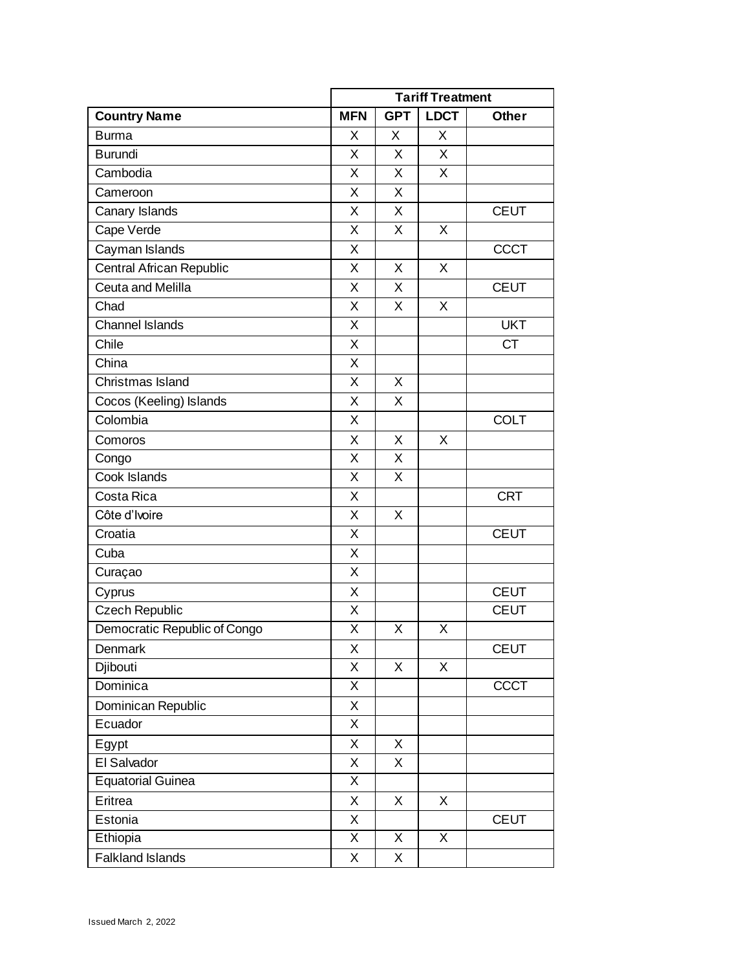|                              |            | <b>Tariff Treatment</b> |             |              |  |
|------------------------------|------------|-------------------------|-------------|--------------|--|
| <b>Country Name</b>          | <b>MFN</b> | <b>GPT</b>              | <b>LDCT</b> | <b>Other</b> |  |
| <b>Burma</b>                 | X          | X                       | X           |              |  |
| <b>Burundi</b>               | X          | X                       | X           |              |  |
| Cambodia                     | X          | X                       | X           |              |  |
| Cameroon                     | X          | X                       |             |              |  |
| Canary Islands               | X          | X                       |             | <b>CEUT</b>  |  |
| Cape Verde                   | X          | X                       | X           |              |  |
| Cayman Islands               | X          |                         |             | <b>CCCT</b>  |  |
| Central African Republic     | X          | X                       | X           |              |  |
| Ceuta and Melilla            | X          | X                       |             | <b>CEUT</b>  |  |
| Chad                         | X          | X                       | X           |              |  |
| <b>Channel Islands</b>       | X          |                         |             | <b>UKT</b>   |  |
| Chile                        | X          |                         |             | <b>CT</b>    |  |
| China                        | X          |                         |             |              |  |
| Christmas Island             | X          | X                       |             |              |  |
| Cocos (Keeling) Islands      | X          | X                       |             |              |  |
| Colombia                     | X          |                         |             | <b>COLT</b>  |  |
| Comoros                      | X          | X                       | X           |              |  |
| Congo                        | X          | X                       |             |              |  |
| Cook Islands                 | X          | X                       |             |              |  |
| Costa Rica                   | X          |                         |             | <b>CRT</b>   |  |
| Côte d'Ivoire                | X          | X                       |             |              |  |
| Croatia                      | X          |                         |             | <b>CEUT</b>  |  |
| Cuba                         | X          |                         |             |              |  |
| Curaçao                      | X          |                         |             |              |  |
| Cyprus                       | X          |                         |             | <b>CEUT</b>  |  |
| <b>Czech Republic</b>        | X          |                         |             | <b>CEUT</b>  |  |
| Democratic Republic of Congo | X          | X                       | X           |              |  |
| Denmark                      | X          |                         |             | <b>CEUT</b>  |  |
| Djibouti                     | X          | X                       | X           |              |  |
| Dominica                     | X          |                         |             | <b>CCCT</b>  |  |
| Dominican Republic           | X          |                         |             |              |  |
| Ecuador                      | X          |                         |             |              |  |
| Egypt                        | X          | X                       |             |              |  |
| El Salvador                  | X          | $\mathsf{X}$            |             |              |  |
| <b>Equatorial Guinea</b>     | X          |                         |             |              |  |
| Eritrea                      | X          | X                       | X           |              |  |
| Estonia                      | X          |                         |             | <b>CEUT</b>  |  |
| Ethiopia                     | X          | X                       | X           |              |  |
| Falkland Islands             | X          | X                       |             |              |  |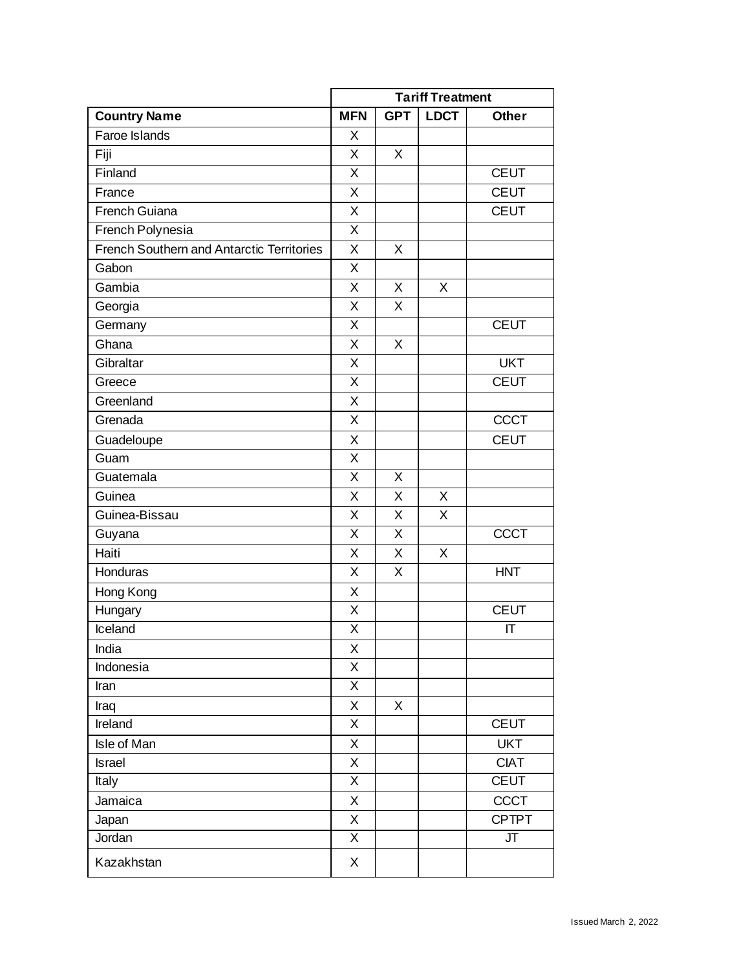|                                                  | <b>Tariff Treatment</b> |            |             |              |
|--------------------------------------------------|-------------------------|------------|-------------|--------------|
| <b>Country Name</b>                              | <b>MFN</b>              | <b>GPT</b> | <b>LDCT</b> | <b>Other</b> |
| Faroe Islands                                    | X                       |            |             |              |
| Fiji                                             | X                       | X          |             |              |
| Finland                                          | X                       |            |             | <b>CEUT</b>  |
| France                                           | X                       |            |             | <b>CEUT</b>  |
| French Guiana                                    | X                       |            |             | <b>CEUT</b>  |
| French Polynesia                                 | X                       |            |             |              |
| <b>French Southern and Antarctic Territories</b> | X                       | X          |             |              |
| Gabon                                            | X                       |            |             |              |
| Gambia                                           | X                       | X          | X           |              |
| Georgia                                          | X                       | X          |             |              |
| Germany                                          | X                       |            |             | <b>CEUT</b>  |
| Ghana                                            | X                       | X          |             |              |
| Gibraltar                                        | X                       |            |             | <b>UKT</b>   |
| Greece                                           | $\overline{X}$          |            |             | <b>CEUT</b>  |
| Greenland                                        | X                       |            |             |              |
| Grenada                                          | X                       |            |             | <b>CCCT</b>  |
| Guadeloupe                                       | X                       |            |             | <b>CEUT</b>  |
| Guam                                             | X                       |            |             |              |
| Guatemala                                        | X                       | $\times$   |             |              |
| Guinea                                           | X                       | X          | X           |              |
| Guinea-Bissau                                    | X                       | X          | X           |              |
| Guyana                                           | X                       | X          |             | <b>CCCT</b>  |
| Haiti                                            | X                       | X          | X           |              |
| Honduras                                         | X                       | X          |             | <b>HNT</b>   |
| Hong Kong                                        | X                       |            |             |              |
| Hungary                                          | X                       |            |             | <b>CEUT</b>  |
| Iceland                                          | X                       |            |             | IT           |
| India                                            | X                       |            |             |              |
| Indonesia                                        | X                       |            |             |              |
| Iran                                             | X                       |            |             |              |
| Iraq                                             | X                       | X          |             |              |
| Ireland                                          | $\mathsf X$             |            |             | <b>CEUT</b>  |
| Isle of Man                                      | X                       |            |             | <b>UKT</b>   |
| Israel                                           | $\mathsf X$             |            |             | <b>CIAT</b>  |
| Italy                                            | $\mathsf X$             |            |             | <b>CEUT</b>  |
| Jamaica                                          | X                       |            |             | CCCT         |
| Japan                                            | X                       |            |             | <b>CPTPT</b> |
| Jordan                                           | $\overline{\mathsf{X}}$ |            |             | JT           |
| Kazakhstan                                       | X                       |            |             |              |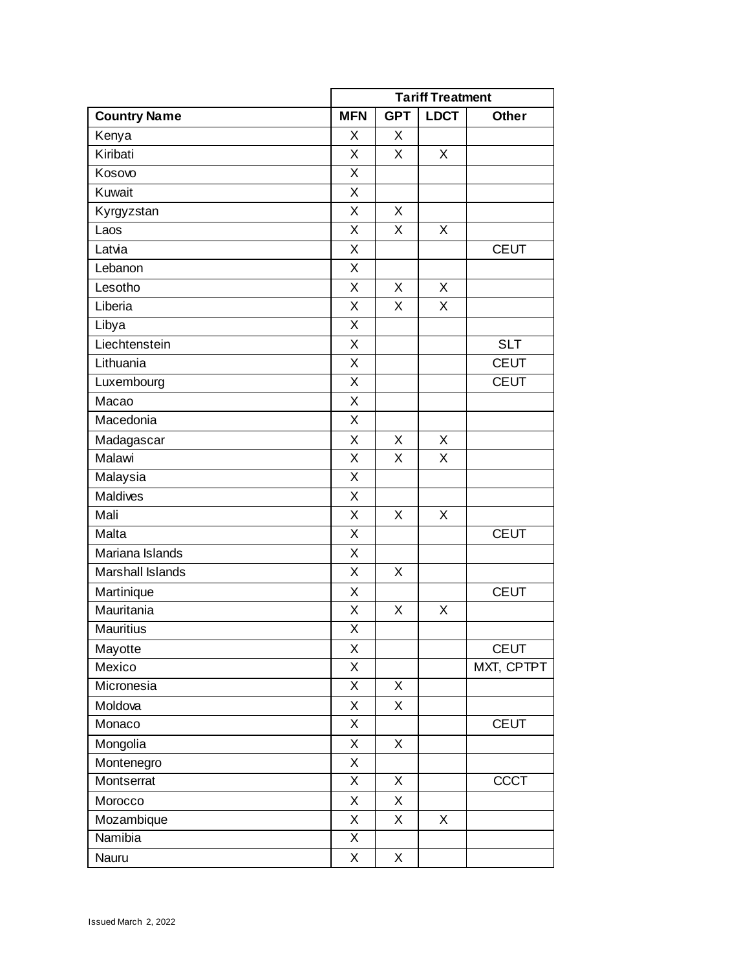|                     |                         | <b>Tariff Treatment</b> |             |              |  |
|---------------------|-------------------------|-------------------------|-------------|--------------|--|
| <b>Country Name</b> | <b>MFN</b>              | <b>GPT</b>              | <b>LDCT</b> | <b>Other</b> |  |
| Kenya               | X                       | X                       |             |              |  |
| Kiribati            | X                       | X                       | $\sf X$     |              |  |
| Kosovo              | X                       |                         |             |              |  |
| Kuwait              | X                       |                         |             |              |  |
| Kyrgyzstan          | X                       | X                       |             |              |  |
| Laos                | X                       | X                       | X           |              |  |
| Latvia              | X                       |                         |             | <b>CEUT</b>  |  |
| Lebanon             | X                       |                         |             |              |  |
| Lesotho             | X                       | X                       | X           |              |  |
| Liberia             | X                       | X                       | X           |              |  |
| Libya               | X                       |                         |             |              |  |
| Liechtenstein       | X                       |                         |             | <b>SLT</b>   |  |
| Lithuania           | X                       |                         |             | <b>CEUT</b>  |  |
| Luxembourg          | $\overline{\mathsf{X}}$ |                         |             | <b>CEUT</b>  |  |
| Macao               | Χ                       |                         |             |              |  |
| Macedonia           | X                       |                         |             |              |  |
| Madagascar          | X                       | X                       | X           |              |  |
| Malawi              | X                       | X                       | X           |              |  |
| Malaysia            | X                       |                         |             |              |  |
| Maldives            | X                       |                         |             |              |  |
| Mali                | X                       | X                       | X           |              |  |
| Malta               | X                       |                         |             | <b>CEUT</b>  |  |
| Mariana Islands     | X                       |                         |             |              |  |
| Marshall Islands    | X                       | X                       |             |              |  |
| Martinique          | X                       |                         |             | <b>CEUT</b>  |  |
| Mauritania          | X                       | X                       | X           |              |  |
| <b>Mauritius</b>    | Χ                       |                         |             |              |  |
| Mayotte             | Χ                       |                         |             | <b>CEUT</b>  |  |
| Mexico              | X                       |                         |             | MXT, CPTPT   |  |
| Micronesia          | Χ                       | X                       |             |              |  |
| Moldova             | X                       | Χ                       |             |              |  |
| Monaco              | X                       |                         |             | <b>CEUT</b>  |  |
| Mongolia            | X                       | X                       |             |              |  |
| Montenegro          | X                       |                         |             |              |  |
| Montserrat          | X                       | X                       |             | <b>CCCT</b>  |  |
| Morocco             | Χ                       | X                       |             |              |  |
| Mozambique          | Χ                       | X                       | X           |              |  |
| Namibia             | $\overline{\mathsf{x}}$ |                         |             |              |  |
| Nauru               | X                       | X                       |             |              |  |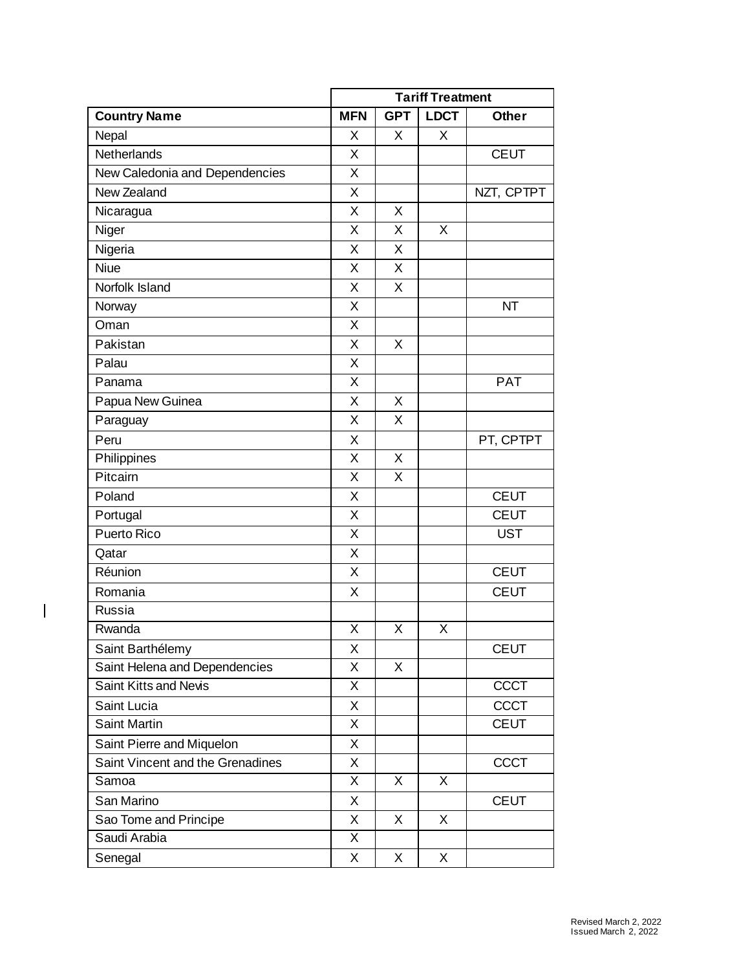|                                  |                         | <b>Tariff Treatment</b> |             |              |
|----------------------------------|-------------------------|-------------------------|-------------|--------------|
| <b>Country Name</b>              | <b>MFN</b>              | <b>GPT</b>              | <b>LDCT</b> | <b>Other</b> |
| Nepal                            | X                       | X                       | X           |              |
| Netherlands                      | Χ                       |                         |             | <b>CEUT</b>  |
| New Caledonia and Dependencies   | X                       |                         |             |              |
| New Zealand                      | X                       |                         |             | NZT, CPTPT   |
| Nicaragua                        | X                       | X                       |             |              |
| Niger                            | X                       | X                       | X           |              |
| Nigeria                          | X                       | X                       |             |              |
| <b>Niue</b>                      | X                       | X                       |             |              |
| Norfolk Island                   | X                       | X                       |             |              |
| Norway                           | X                       |                         |             | <b>NT</b>    |
| Oman                             | X                       |                         |             |              |
| Pakistan                         | X                       | X                       |             |              |
| Palau                            | X                       |                         |             |              |
| Panama                           | X                       |                         |             | <b>PAT</b>   |
| Papua New Guinea                 | X                       | X                       |             |              |
| Paraguay                         | X                       | X                       |             |              |
| Peru                             | Χ                       |                         |             | PT, CPTPT    |
| Philippines                      | Χ                       | X                       |             |              |
| Pitcairn                         | X                       | X                       |             |              |
| Poland                           | X                       |                         |             | <b>CEUT</b>  |
| Portugal                         | X                       |                         |             | <b>CEUT</b>  |
| Puerto Rico                      | $\overline{\mathsf{x}}$ |                         |             | <b>UST</b>   |
| Qatar                            | X                       |                         |             |              |
| Réunion                          | X                       |                         |             | <b>CEUT</b>  |
| Romania                          | X                       |                         |             | <b>CEUT</b>  |
| Russia                           |                         |                         |             |              |
| Rwanda                           | X                       | X                       | X           |              |
| Saint Barthélemy                 | Χ                       |                         |             | <b>CEUT</b>  |
| Saint Helena and Dependencies    | X                       | X                       |             |              |
| Saint Kitts and Nevis            | X                       |                         |             | <b>CCCT</b>  |
| Saint Lucia                      | Χ                       |                         |             | <b>CCCT</b>  |
| <b>Saint Martin</b>              | X                       |                         |             | <b>CEUT</b>  |
| Saint Pierre and Miquelon        | X                       |                         |             |              |
| Saint Vincent and the Grenadines | X                       |                         |             | <b>CCCT</b>  |
| Samoa                            | X                       | X                       | X           |              |
| San Marino                       | Χ                       |                         |             | <b>CEUT</b>  |
| Sao Tome and Principe            | X                       | X                       | X           |              |
| Saudi Arabia                     | X                       |                         |             |              |
| Senegal                          | X                       | X                       | X           |              |

 $\begin{array}{c} \hline \end{array}$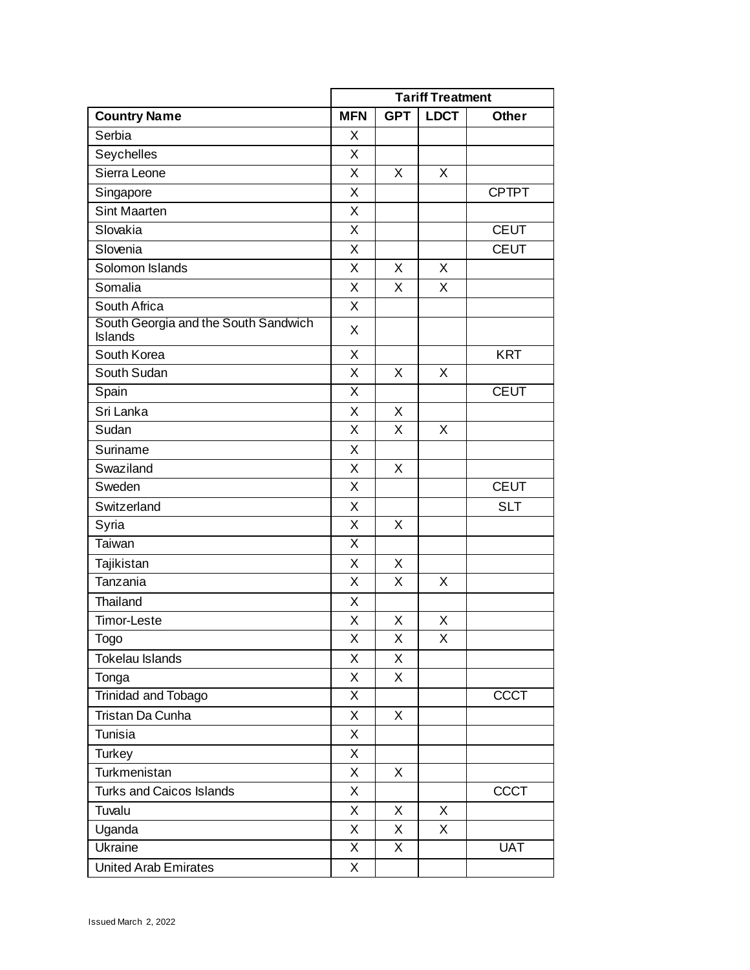|                                                        | <b>Tariff Treatment</b> |            |             |              |
|--------------------------------------------------------|-------------------------|------------|-------------|--------------|
| <b>Country Name</b>                                    | <b>MFN</b>              | <b>GPT</b> | <b>LDCT</b> | <b>Other</b> |
| Serbia                                                 | X                       |            |             |              |
| Seychelles                                             | X                       |            |             |              |
| Sierra Leone                                           | X                       | Χ          | X           |              |
| Singapore                                              | X                       |            |             | <b>CPTPT</b> |
| Sint Maarten                                           | X                       |            |             |              |
| Slovakia                                               | X                       |            |             | <b>CEUT</b>  |
| Slovenia                                               | X                       |            |             | <b>CEUT</b>  |
| Solomon Islands                                        | Χ                       | X          | X           |              |
| Somalia                                                | Χ                       | X          | X           |              |
| South Africa                                           | X                       |            |             |              |
| South Georgia and the South Sandwich<br><b>Islands</b> | X                       |            |             |              |
| South Korea                                            | X                       |            |             | <b>KRT</b>   |
| South Sudan                                            | X                       | X          | X           |              |
| Spain                                                  | X                       |            |             | <b>CEUT</b>  |
| Sri Lanka                                              | X                       | X          |             |              |
| Sudan                                                  | X                       | X          | X           |              |
| Suriname                                               | Χ                       |            |             |              |
| Swaziland                                              | X                       | X          |             |              |
| Sweden                                                 | X                       |            |             | <b>CEUT</b>  |
| Switzerland                                            | X                       |            |             | <b>SLT</b>   |
| Syria                                                  | X                       | X          |             |              |
| Taiwan                                                 | $\overline{\mathsf{x}}$ |            |             |              |
| Tajikistan                                             | X                       | X          |             |              |
| Tanzania                                               | X                       | Χ          | X           |              |
| Thailand                                               | X                       |            |             |              |
| Timor-Leste                                            | X                       | X          | X           |              |
| Togo                                                   | Χ                       | Χ          | Χ           |              |
| Tokelau Islands                                        | X                       | X          |             |              |
| Tonga                                                  | X                       | X          |             |              |
| Trinidad and Tobago                                    | X                       |            |             | <b>CCCT</b>  |
| Tristan Da Cunha                                       | X                       | X          |             |              |
| Tunisia                                                | X                       |            |             |              |
| Turkey                                                 | X                       |            |             |              |
| Turkmenistan                                           | X                       | X          |             |              |
| <b>Turks and Caicos Islands</b>                        | X                       |            |             | <b>CCCT</b>  |
| Tuvalu                                                 | X                       | X          | X           |              |
| Uganda                                                 | X                       | X          | X           |              |
| Ukraine                                                | X                       | X          |             | <b>UAT</b>   |
| <b>United Arab Emirates</b>                            | X                       |            |             |              |